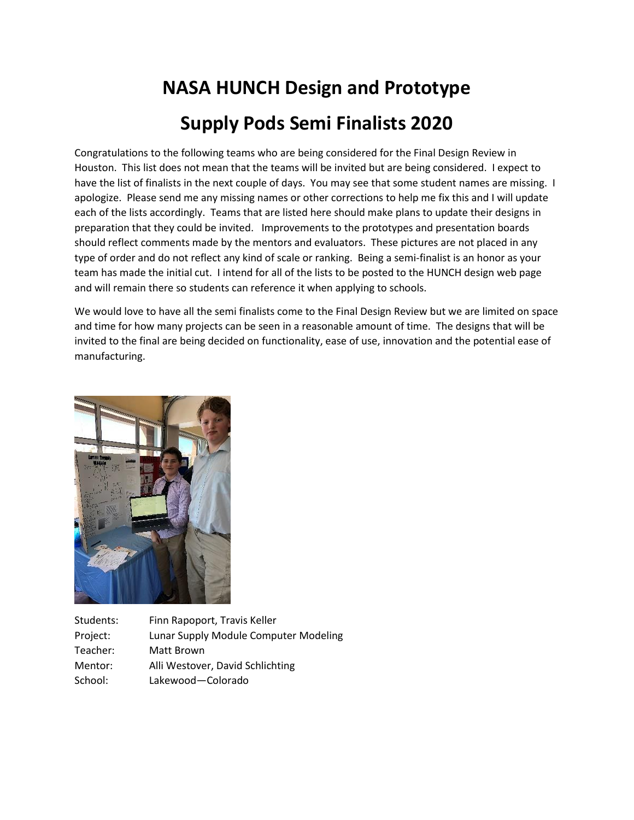## **NASA HUNCH Design and Prototype Supply Pods Semi Finalists 2020**

Congratulations to the following teams who are being considered for the Final Design Review in Houston. This list does not mean that the teams will be invited but are being considered. I expect to have the list of finalists in the next couple of days. You may see that some student names are missing. I apologize. Please send me any missing names or other corrections to help me fix this and I will update each of the lists accordingly. Teams that are listed here should make plans to update their designs in preparation that they could be invited. Improvements to the prototypes and presentation boards should reflect comments made by the mentors and evaluators. These pictures are not placed in any type of order and do not reflect any kind of scale or ranking. Being a semi-finalist is an honor as your team has made the initial cut. I intend for all of the lists to be posted to the HUNCH design web page and will remain there so students can reference it when applying to schools.

We would love to have all the semi finalists come to the Final Design Review but we are limited on space and time for how many projects can be seen in a reasonable amount of time. The designs that will be invited to the final are being decided on functionality, ease of use, innovation and the potential ease of manufacturing.



Students: Finn Rapoport, Travis Keller Project: Lunar Supply Module Computer Modeling Teacher: Matt Brown Mentor: Alli Westover, David Schlichting School: Lakewood—Colorado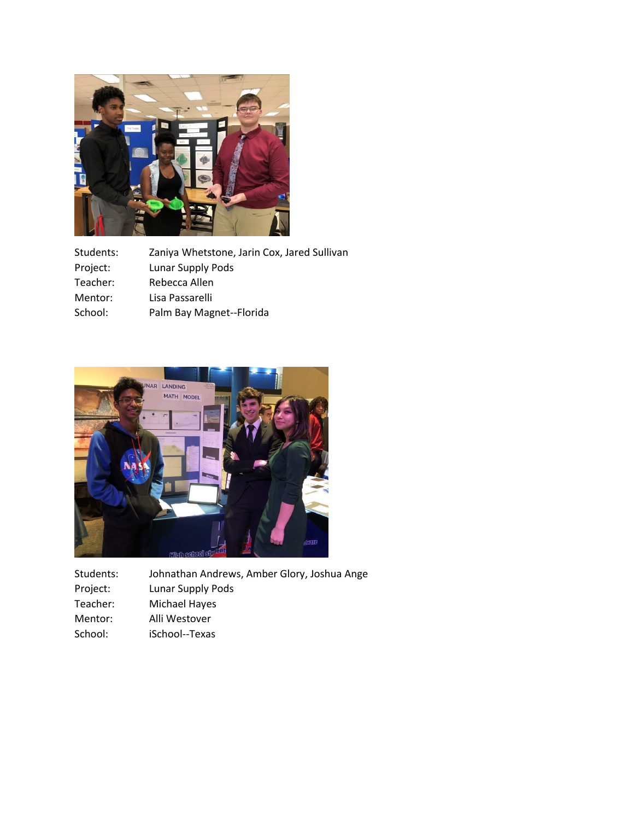

| Students: | Zaniya Whetstone, Jarin Cox, Jared Sullivan |
|-----------|---------------------------------------------|
| Project:  | Lunar Supply Pods                           |
| Teacher:  | Rebecca Allen                               |
| Mentor:   | Lisa Passarelli                             |
| School:   | Palm Bay Magnet--Florida                    |



| Students: | Johnathan Andrews, Amber Glory, Joshua Ange |
|-----------|---------------------------------------------|
| Project:  | Lunar Supply Pods                           |
| Teacher:  | Michael Hayes                               |
| Mentor:   | Alli Westover                               |
| School:   | iSchool--Texas                              |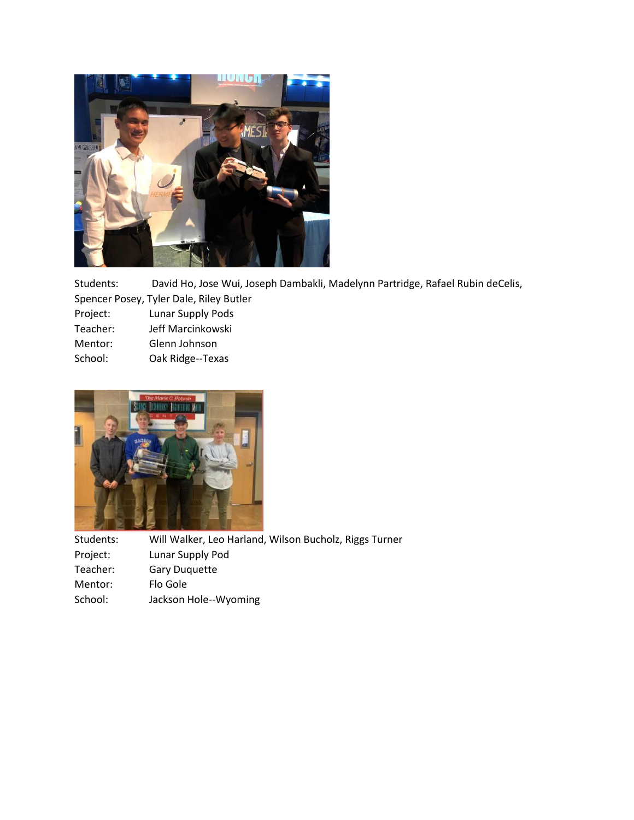

Students: David Ho, Jose Wui, Joseph Dambakli, Madelynn Partridge, Rafael Rubin deCelis, Spencer Posey, Tyler Dale, Riley Butler

|          | . |                   |  |
|----------|---|-------------------|--|
| Project: |   | Lunar Supply Pods |  |

| Teacher: | Jeff Marcinkowski |
|----------|-------------------|
|          |                   |

- Mentor: Glenn Johnson
- School: Oak Ridge--Texas



Students: Will Walker, Leo Harland, Wilson Bucholz, Riggs Turner Project: Lunar Supply Pod Teacher: Gary Duquette Mentor: Flo Gole School: Jackson Hole--Wyoming